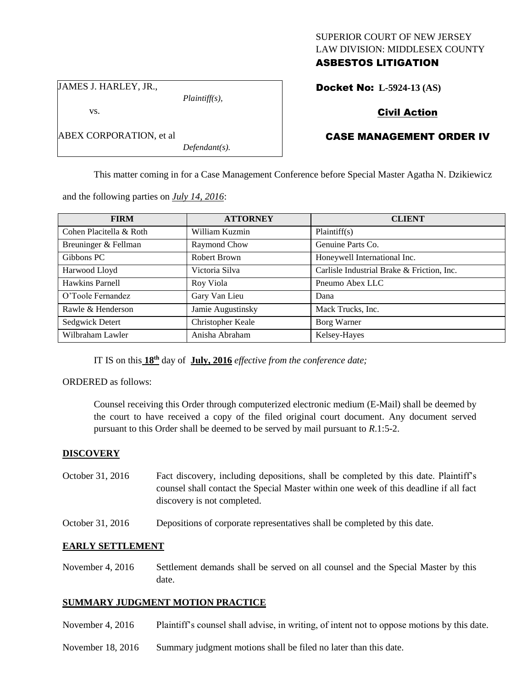## SUPERIOR COURT OF NEW JERSEY LAW DIVISION: MIDDLESEX COUNTY

# ASBESTOS LITIGATION

JAMES J. HARLEY, JR.,

vs.

*Plaintiff(s),*

Docket No: **L-5924-13 (AS)** 

## Civil Action

## ABEX CORPORATION, et al

*Defendant(s).*

### CASE MANAGEMENT ORDER IV

This matter coming in for a Case Management Conference before Special Master Agatha N. Dzikiewicz

and the following parties on *July 14, 2016*:

| <b>FIRM</b>             | <b>ATTORNEY</b>   | <b>CLIENT</b>                              |
|-------------------------|-------------------|--------------------------------------------|
| Cohen Placitella & Roth | William Kuzmin    | Plaintiff(s)                               |
| Breuninger & Fellman    | Raymond Chow      | Genuine Parts Co.                          |
| Gibbons PC              | Robert Brown      | Honeywell International Inc.               |
| Harwood Lloyd           | Victoria Silva    | Carlisle Industrial Brake & Friction, Inc. |
| Hawkins Parnell         | Roy Viola         | Pneumo Abex LLC                            |
| O'Toole Fernandez       | Gary Van Lieu     | Dana                                       |
| Rawle & Henderson       | Jamie Augustinsky | Mack Trucks, Inc.                          |
| Sedgwick Detert         | Christopher Keale | Borg Warner                                |
| Wilbraham Lawler        | Anisha Abraham    | Kelsey-Hayes                               |

IT IS on this **18th** day of **July, 2016** *effective from the conference date;*

#### ORDERED as follows:

Counsel receiving this Order through computerized electronic medium (E-Mail) shall be deemed by the court to have received a copy of the filed original court document. Any document served pursuant to this Order shall be deemed to be served by mail pursuant to *R*.1:5-2.

## **DISCOVERY**

- October 31, 2016 Fact discovery, including depositions, shall be completed by this date. Plaintiff's counsel shall contact the Special Master within one week of this deadline if all fact discovery is not completed.
- October 31, 2016 Depositions of corporate representatives shall be completed by this date.

#### **EARLY SETTLEMENT**

November 4, 2016 Settlement demands shall be served on all counsel and the Special Master by this date.

#### **SUMMARY JUDGMENT MOTION PRACTICE**

- November 4, 2016 Plaintiff's counsel shall advise, in writing, of intent not to oppose motions by this date.
- November 18, 2016 Summary judgment motions shall be filed no later than this date.